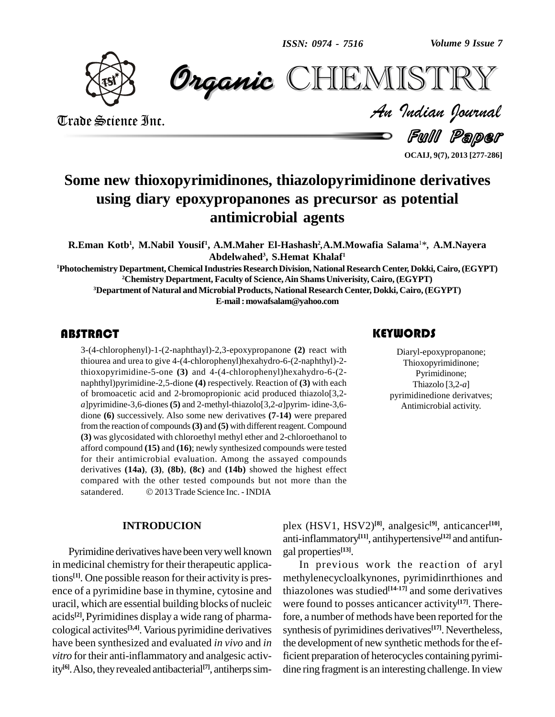*Volume 9 Issue 7*



 *Indian Journal* **CHEMISTRY** 

Trade Science Inc. Trade Science Inc.

Full Paper

**OCAIJ, 9(7), 2013 [277-286]**

# **Some new thioxopyrimidinones, thiazolopyrimidinone derivatives using diary epoxypropanones as precursor as potential** *,,***antimicrobial agents 3**\**,* **A.M.Nayera**

**R.Eman Kotb 1 M.Nabil Yousif 1 , A.M.Maher El-Hashash 2 A.M.Mowafia Salama Abdelwahed , S.Hemat Khalaf 1**

**Photochemistry Department, ChemicalIndustries ResearchDivision, National Research Center, Dokki, Cairo,(EGYPT) Chemistry Department, Faculty of Science,Ain ShamsUniverisity, Cairo, (EGYPT) Department of Natural andMicrobial Products, National Research Center, Dokki, Cairo, (EGYPT) E-mail:[mowafsalam@yahoo.com](mailto:mowafsalam@yahoo.com)**

### **ABSTRACT**

 $3-(4-chlorophenyl)-1-(2)$ <br>thiourea and urea to give<br>thioxopyrimidine-5-or 3-(4-chlorophenyl)-1-(2-naphthayl)-2,3-epoxypropanone **(2)** react with thiourea and urea to give 4-(4-chlorophenyl)hexahydro-6-(2-naphthyl)-2 thioxopyrimidine-5-one **(3)** and 4-(4-chlorophenyl)hexahydro-6-(2 naphthyl)pyrimidine-2,5-dione **(4)** respectively. Reaction of **(3)** with each of bromoacetic acid and 2-bromopropionic acid produced thiazolo[3,2 *a*]pyrimidine-3,6-diones**(5)** and 2-methyl-thiazolo[3,2-*a*]pyrim- idine-3,6 dione **(6)** successively. Also some new derivatives **(7-14)** were prepared fromthe reaction of compounds**(3)** and **(5)** with differentreagent. Compound **(3)** was glycosidated with chloroethyl methyl ether and 2-chloroethanol to afford compound **(15)** and **(16)**; newly synthesized compounds were tested for their antimicrobial evaluation. Among the assayed compounds derivatives (14a), (3), (8b), (8c) and (14b) showed the highest effect compared with the other tested compounds but not more than the satandered.  $\odot$  2013 Trade Science Inc. - INDIA compared with the other tested compounds but not more than the

### **INTRODUCION**

Pyrimidine derivatives have been verywell known in medicinal chemistry for their therapeutic applications<sup>[1]</sup>. One possible reason for their activity is pres- met ence of a pyrimidine base in thymine, cytosine and uracil, which are essential building blocks of nucleic acids<sup>[2]</sup>, Pyrimidines display a wide rang of pharma- fore cological activites<sup>[3,4]</sup>. Various pyrimidine derivatives synth have been synthesized and evaluated *in vivo* and *in vitro* for their anti-inflammatory and analgesic activity<sup>[6]</sup>. Also, they revealed antibacterial<sup>[7]</sup>, antiherps sim-

# **KEYWORDS**

Diaryl-epoxypropano<br>Thioxopyrimidinone<br>Pyrimidinone; Diaryl-epoxypropanone; Thioxopyrimidinone; Pyrimidinone; Thiazolo [3,2-*a*] pyrimidinedione derivatves; Antimicrobial activity.

plex (HSV1, HSV2) **[8]**, analgesic **[9]**, anticancer **[10]**, anti-inflammatory **[11]**, antihypertensive **[12]** and antifun gal properties **[13]**.

In previous work the reaction of aryl methylenecycloalkynones, pyrimidinrthiones and thiazolones was studied **[14-17]** and some derivatives were found to posses anticancer activity **[17]**. Therefore, a number of methods have been reported for the synthesis of pyrimidines derivatives **[17]**. Nevertheless, the development of new synthetic methods for the efficient preparation of heterocycles containing pyrimi dine ring fragment is an interesting challenge. In view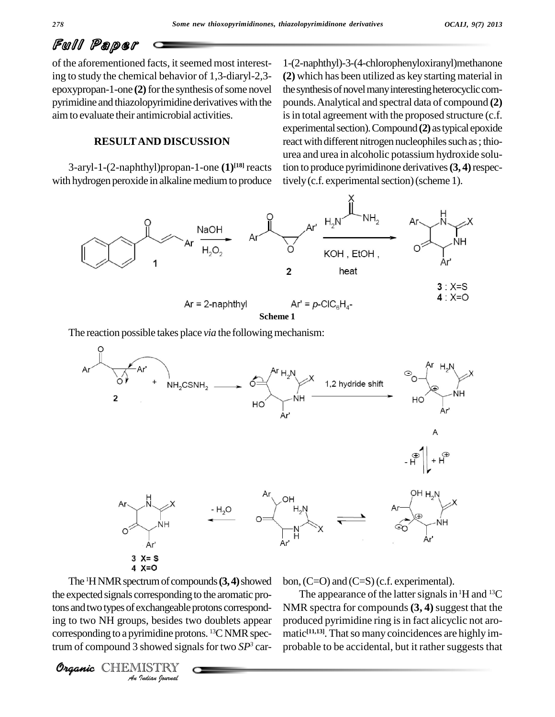of the aforementioned facts, it seemed most interesting to study the chemical behavior of 1,3-diaryl-2,3 epoxypropan-1-one (2) for the synthesis of some novel pyrimidine and thiazolopyrimidine derivatives with the aimto evaluate their antimicrobial activities.

**RESULTAND DISCUSSION**

with hydrogen peroxide in alkaline medium to produce

3-aryl-1-(2-naphthyl)propan-1-one **(1) [18]** reacts 1-(2-naphthyl)-3-(4-chlorophenyloxiranyl)methanone **(2)** which has been utilized as key starting material in the synthesis of novel many interesting heterocyclic compounds.Analytical and spectral data of compound **(2)** is in total agreement with the proposed structure (c.f. experimentalsection).Compound**(2)** astypical epoxide react with different nitrogen nucleophiles such as; thiourea and urea in alcoholic potassium hydroxide solution to produce pyrimidinone derivatives**(3, 4)**respectively (c.f. experimental section) (scheme 1).



The reaction possible takes place *via* the following mechanism:



Interest and two types of exchangeable protons correspond-<br>
In the avoid of two NH groups, besides two doublets appear<br>
corresponding to a pyrimidine protons. <sup>13</sup>C NMR spec-<br> **Organic** CHEMISTRY<br>
An *Indian formal* The <sup>1</sup>H NMR spectrum of compounds (3, 4) showed bon, (C the expected signals corresponding to the aromatic proing to two NH groups, besides two doublets appear corresponding to a pyrimidine protons.  $^{13}$ CNMR spectrum of compound 3 showed signals for two *SP*<sup>3</sup> car- prol

Organic CHEMI

bon, (C=O) and (C=S) (c.f. experimental).

The appearance of the latter signals in  ${}^{1}$ H and  ${}^{13}$ C NMR spectra for compounds **(3, 4)**suggest that the produced pyrimidine ring is in fact alicyclic not aromatic<sup>[11,13]</sup>. That so many coincidences are highly improbable to be accidental, but it rather suggests that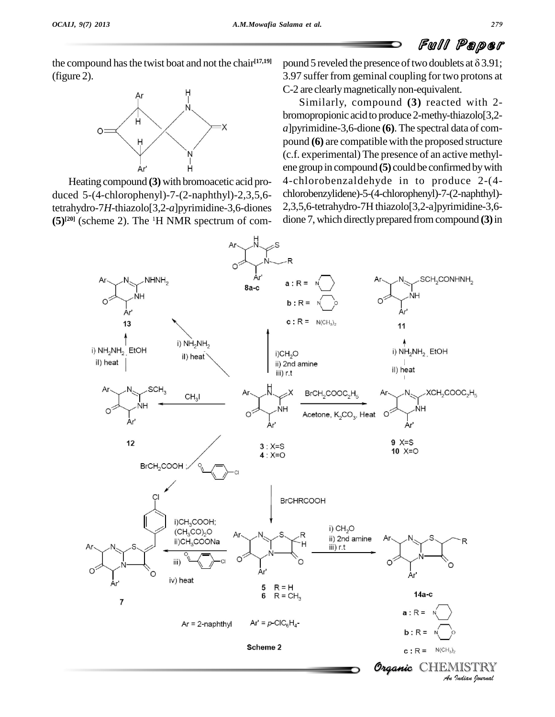the compound has the twist boat and not the chair<sup>[17,19]</sup> p



Heating compound **(3)** with bromoacetic acid pro duced 5-(4-chlorophenyl)-7-(2-naphthyl)-2,3,5,6 tetrahydro-7*H*-thiazolo[3,2-*a*]pyrimidine-3,6-diones  $(5)^{[20]}$  (scheme 2). The <sup>1</sup>H NMR spectrum of com- dio

(figure 2).<br>
flume 2). **Paper** the compound has the twist boat and not the chair<sup>[17,19]</sup> pound 5 reveled the presence of two doublets at  $\delta$  3.91;<br>
3.97 suffer from geminal coupling for two protons at 3.97 suffer from geminal coupling fortwo protons at C-2 are clearlymagneticallynon-equivalent.

> Similarly, compound **(3)** reacted with 2 bromopropionic acid to produce 2-methy-thiazolo<sup>[3,2-</sup> *a*]pyrimidine-3,6-dione **(6)**. The spectral data of com pound **(6)** are compatible with the proposed structure (c.f. experimental) The presence of an active methyl ene group in compound **(5)** could be confirmed by with 4-chlorobenzaldehyde in to produce 2-(4 chlorobenzylidene)-5-(4-chlorophenyl)-7-(2-naphthyl)- 2,3,5,6-tetrahydro-7H thiazolo[3,2-a]pyrimidine-3,6 dione 7,which directlyprepared fromcompound **(3)**in

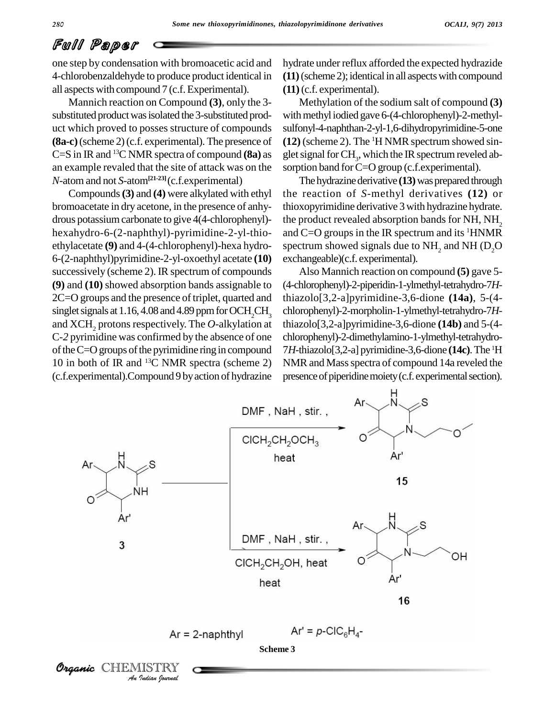one step by condensation with bromoacetic acid and 4-chlorobenzaldehyde to produce product identical in all aspects with compound 7 (c.f.Experimental).

Mannich reaction on Compound **(3)**, only the 3 substituted product was isolated the 3-substituted product which proved to posses structure of compounds **(8a-c)**(scheme 2)(c.f. experimental). The presence of C=S in IR and <sup>13</sup>C NMR spectra of compound **(8a)** as an example revaled that the site of attack was on the *N*-atom and not *S*-atom**[21-23]**(c.f.experimental)

Compounds**(3)** and **(4)** were alkylated with ethyl bromoacetate in dry acetone, in the presence of anhy drous potassium carbonate to give 4(4-chlorophenyl)hexahydro-6-(2-naphthyl)-pyrimidine-2-yl-thio ethylacetate **(9)** and 4-(4-chlorophenyl)-hexa hydro- 6-(2-naphthyl)pyrimidine-2-yl-oxoethyl acetate **(10)** successively (scheme 2).IR spectrum of compounds **(9)** and **(10)** showed absorption bands assignable to 2C=O groups and the presence of triplet, quarted and singlet signals at  $1.16$ ,  $4.08$  and  $4.89$  ppm for OCH<sub>2</sub>CH<sub>2</sub> and XCH<sub>2</sub> protons respectively. The *O*-alkylation at C-*2* pyrimidine was confirmed by the absence of one of the  $C=O$  groups of the pyrimidine ring in compound 10 in both of IR and <sup>13</sup>C NMR spectra (scheme 2) NM (c.f.experimental).Compound 9 byaction of hydrazine

hydrate under reflux afforded the expected hydrazide **(11)**(scheme 2);identicalin all aspectswith compound **(11)**(c.f. experimental).

Methylation of the sodium salt of compound **(3)** with methyl iodied gave 6-(4-chlorophenyl)-2-methylsulfonyl-4-naphthan-2-yl-1,6-dihydropyrimidine-5-one **(12)** (scheme 2). The <sup>1</sup>H NMR spectrum showed singlet signal for  $\mathrm{CH}_3^{}$ , which the IR spectrum reveled absorption band for C=O group (c.f.experimental).

The hydrazine derivative (13) was prepared through the reaction of *S*-methyl derivatives **(12)** or thioxopyrimidine derivative 3with hydrazine hydrate. the product revealed absorption bands for NH, NH<sub>2</sub> and C=O groups in the IR spectrum and its <sup>1</sup>HNMR spectrum showed signals due to  $NH<sub>2</sub>$  and NH (D<sub>2</sub>O) exchangeable)(c.f. experimental).

Also Mannich reaction on compound **(5)** gave 5- (4-chlorophenyl)-2-piperidin-1-ylmethyl-tetrahydro-7*H*thiazolo[3,2-a]pyrimidine-3,6-dione **(14a)**, 5-(4 chlorophenyl)-2-morpholin-1-ylmethyl-tetrahydro-7*H*thiazolo[3,2-a]pyrimidine-3,6-dione **(14b)** and 5-(4 chlorophenyl)-2-dimethylamino-1-ylmethyl-tetrahydro- 7*H*-thiazolo[3,2-a] pyrimidine-3,6-dione **(14c)**.The <sup>1</sup>H NMR and Mass spectra of compound 14a reveled the presence of piperidine moiety (c.f. experimental section).

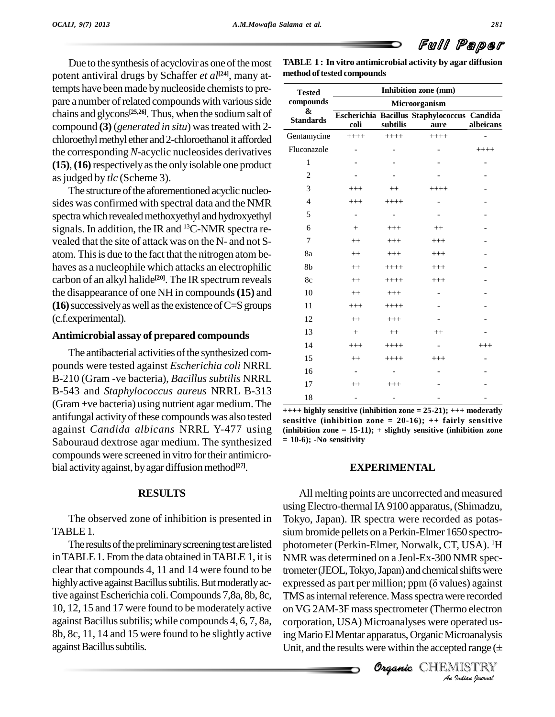Due to the synthesis of acyclovir as one of the most potent antiviral drugs by Schaffer *et al*<sup>[24]</sup>, many attempts have been made by nucleoside chemists to prepare a number of related compounds with various side chains and glycons<sup>[25,26]</sup>. Thus, when the sodium salt of compound **(3)** (*generated in situ*) wastreated with 2 chloroethyl methyl ether and 2-chloroethanol it afforded the corresponding *N*-acyclic nucleosides derivatives **(15)**,**(16)**respectivelyasthe onlyisolable one product as judged by *tlc* (Scheme 3).

The structure of the aforementioned acyclic nucleosides was confirmed with spectral data and the NMR spectra which revealed methoxyethyl and hydroxyethyl signals. In addition, the IR and <sup>13</sup>C-NMR spectra re vealed that the site of attack was on the N- and not S atom. Thisis due to the fact that the nitrogen atom be haves as a nucleophile which attacks an electrophilic carbon of an alkyl halide **[20]**. The IR spectrum reveals the disappearance of one NH in compounds**(15)** and  $(16)$  successively as well as the existence of  $C=$ S groups (c.f.experimental).

### **Antimicrobial assay of prepared compounds**

The antibacterial activities of the synthesized compounds were tested against *Escherichia coli* NRRL B-210 (Gram -ve bacteria), *Bacillus subtilis* NRRL B-543 and *Staphylococcus aureus* NRRL B-313  $(Gram +ve bacteria)$  using nutrient agar medium. The antifungal activity of these compounds was also tested against *Candida albicans* NRRL Y-477 using Sabouraud dextrose agar medium. The synthesized compounds were screened in vitro fortheir antimicro bial activity against, by agar diffusion method<sup>[27]</sup>.

### **RESULTS**

The observed zone of inhibition is presented in TABLE 1.

The results of the preliminary screening test are listed inTABLE1. From the data obtained inTABLE 1, it is clear that compounds 4, 11 and 14 were found to be highly active against Bacillus subtilis. But moderatly active againstEscherichia coli.Compounds 7,8a, 8b, 8c, 10, 12, 15 and 17 were found to be moderately active against Bacillus subtilis; while compounds 4, 6, 7, 8a, 8b, 8c, 11, 14 and 15 were found to be slightly active against Bacillus subtilis.

**TABLE 1 : In vitro antimicrobial activity by agar diffusion**  $method of tested compounds$ 

| <b>Tested</b><br>compounds<br>&<br><b>Standards</b> | Inhibition zone (mm)<br>Microorganism |                   |                          |          |
|-----------------------------------------------------|---------------------------------------|-------------------|--------------------------|----------|
|                                                     |                                       |                   |                          |          |
|                                                     | Gentamycine                           | $+++++$           | $+++++$                  | $+++++$  |
| Fluconazole                                         |                                       |                   | $\overline{a}$           | $+++++$  |
| $\mathbf{1}$                                        |                                       |                   |                          |          |
| $\overline{c}$                                      |                                       |                   |                          |          |
| 3                                                   | $+++$                                 | $^{++}$           | $+++++$                  |          |
| $\overline{4}$                                      | $^{+++}$                              | $+++++$           |                          |          |
| 5                                                   | $\overline{a}$                        |                   |                          |          |
| 6                                                   | $^{+}$                                | $+++$             | $^{++}$                  |          |
| 7                                                   | $++$                                  | $+++$             | $+++$                    |          |
| 8a                                                  | $^{++}$                               | $^{+++}$          | $^{+++}$                 |          |
| 8b                                                  | $++$                                  | $+++++$           | $+++$                    |          |
| 8c                                                  | $++$                                  | $+++++$           | $^{+++}$                 |          |
| 10                                                  | $++$                                  | $+++$             |                          |          |
| 11                                                  | $+++$                                 | $+++++$           |                          |          |
| 12                                                  | $++$                                  | $+++$             |                          |          |
| 13                                                  | $+$                                   | $++$              | $++$                     |          |
| 14                                                  | $+++$                                 | $+++++$           | $\overline{\phantom{a}}$ | $^{+++}$ |
| 15                                                  | $++$                                  | $+++++$           | $+++$                    |          |
| 16                                                  | $\overline{\phantom{a}}$              |                   | $\qquad \qquad -$        |          |
| 17                                                  | $++$                                  | $+++$             |                          |          |
| 18                                                  | $\overline{\phantom{0}}$              | $\qquad \qquad -$ | $\overline{\phantom{0}}$ |          |

**++++ highly sensitive (inhibition zone = 25-21); +++ moderatly sensitive (inhibition zone = 20-16); ++ fairly sensitive (inhibition zone = 15-11); + slightly sensitive (inhibition zone = 10-6); -No sensitivity**

### **EXPERIMENTAL**

TMS as internal reference. Mass spectra were recorded<br>as  $\overline{MS}$  2.4 M 2E was a was transity of Therman algebras *Indian*<br>*Indianalysis*<br>*Indianalysis*<br>*Indian hournal* All melting points are uncorrected and measured usingElectro-thermalIA 9100 apparatus,(Shimadzu, Tokyo, Japan). IR spectra were recorded as potas siumbromide pellets on a Perkin-Elmer 1650 spectro photometer (Perkin-Elmer, Norwalk, CT, USA). <sup>1</sup>H NMR was determined on a Jeol-Ex-300 NMR spectrometer (JEOL, Tokyo, Japan) and chemical shifts were expressed as part per million; ppm  $(\delta \text{ values})$  against on VG 2AM-3F mass spectrometer (Thermo electron corporation, USA) Microanalyses were operated us-Unit, and the results were within the accepted range (<sup>±</sup> ing Mario El Mentar apparatus, Organic Microanalysis

Organic CHEMISTRY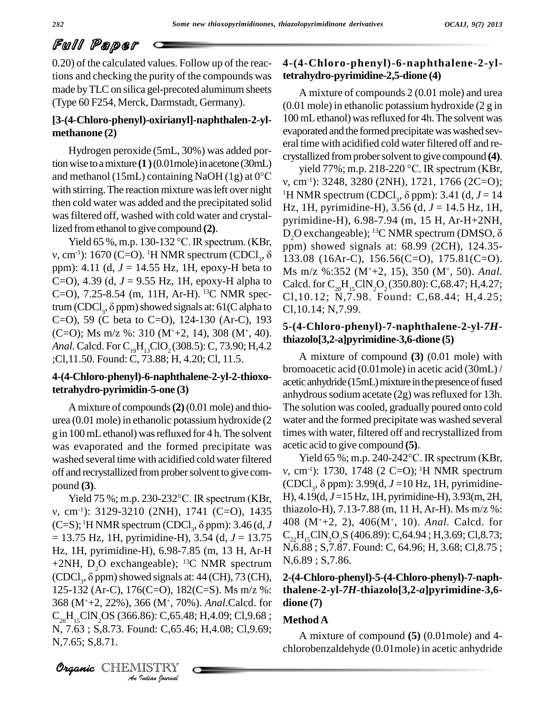0.20) of the calculated values. Follow up of the reactions and checking the purity of the compounds was made by TLC on silica gel-precoted aluminum sheets (Type 60 F254, Merck, Darmstadt, Germany).

### **[3-(4-Chloro-phenyl)-oxirianyl]-naphthalen-2-yl methanone (2)**

Hydrogen peroxide (5mL, 30%) was added portion wise to a mixture  $(1)(0.01$  mole) in acetone  $(30$  mL Hydrogen peroxide (5mL, 30%) was added por-<br>tion wise to a mixture (1) (0.01mole) in acetone (30mL) yield<br>and methanol (15mL) containing NaOH (1g) at 0°C with stirring. The reaction mixture was left over night then cold water was added and the precipitated solid was filtered off, washed with cold water and crystal-<br>lized from ethanol to give compound (2). D<br>Yield 65 %, m.p. 130-132 °C. IR spectrum. (KBr, lized fromethanol to give compound **(2)**.

 $v,$  cm<sup>-1</sup>): 1670 (C=O). <sup>1</sup>H NMR spectrum (CDCl<sub>3</sub>, δ ppm): 4.11 (d, *J* = 14.55 Hz, 1H, epoxy-H beta to C=O), 4.39 (d,  $J = 9.55$  Hz, 1H, epoxy-H alpha to Calcd.<br>C=O), 7.25-8.54 (m, 11H, Ar-H).<sup>13</sup>C NMR spec- C1,10.<br>trum (CDCl<sub>3</sub>,  $\delta$  ppm) showed signals at: 61(C alpha to C1.10. C=O), 7.25-8.54 (m, 11H, Ar-H). <sup>13</sup>C NMR spectrum (CDCl<sub>3</sub>,  $\delta$  ppm) showed signals at: 61(C alpha to C=O), 59 (C beta to C=O), 124-130 (Ar-C), 193 (C=O); Ms m/z %: 310 (M<sup>+</sup>+2, 14), 308 (M<sup>+</sup>, 40). *Anal.* Calcd. For C<sub>19</sub>H<sub>13</sub>ClO<sub>2</sub> (308.5): C, 73.90; H,4.2 ;Cl,11.50. Found: C, 73.88; H, 4.20; Cl, 11.5.

### **4-(4-Chloro-phenyl)-6-naphthalene-2-yl-2-thioxotetrahydro-pyrimidin-5-one (3)**

Amixture of compounds**(2)**(0.01mole) and thio urea (0.01 mole) in ethanolic potassium hydroxide (2 g in 100mLethanol) wasrefluxed for 4 h.The solvent was evaporated and the formed precipitate was washed several time with acidified cold water filtered off and recrystallized from prober solvent to give com-  $v$ , cm<br>pound (3). (CDC<br>Yield 75 %; m.p. 230-232°C. IR spectrum (KBr,  $H$ ), 4. pound **(3)**.

368 (M<sup>+</sup>+2, 22%), 366 (M<sup>+</sup>, 70%). *Anal*.Calcd. for **dio** *Indian Indian*<br>*Indian <sup>1</sup> C*,65.48<br>Indian bournal<br>Indian bournal , cm-1): 3129-3210 (2NH), 1741 (C=O), 1435 Yield 75 %; m.p. 230-232°C. IR spectrum (KBr, H), 4.<br>v, cm<sup>-1</sup>): 3129-3210 (2NH), 1741 (C=O), 1435 thiazo<br>(C=S); <sup>1</sup>H NMR spectrum (CDCl<sub>3</sub>,  $\delta$  ppm): 3.46 (d, *J* 408 = 13.75 Hz, 1H, pyrimidine-H), 3.54 (d, *J* = 13.75 Hz, 1H, pyrimidine-H), 6.98-7.85 (m, 13 H, Ar-H +2NH,  $D_2O$  exchangeable); <sup>13</sup>C NMR spectrum Hz, 1H, pyrimidine-H), 6.98-7.85 (m, 13 H, Ar-H<br>+2NH, D<sub>2</sub>O exchangeable); <sup>13</sup>C NMR spectrum<br>(CDCl<sub>3</sub>,  $\delta$  ppm) showed signals at: 44 (CH), 73 (CH), 2-125-132 (Ar-C), 176(C=O), 182(C=S). Ms m/z %:  $C_{20}H_{15}CIN_{2}OS (366.86)$ : C,65.48; H,4.09; Cl,9.68; N, 7.63 ; S,8.73. Found: C,65.46; H,4.08; Cl,9.69; N,7.65; S,8.71.

### **4-(4-Chloro-phenyl)-6-naphthalene-2-yltetrahydro-pyrimidine-2,5-dione (4)**

A mixture of compounds 2 (0.01 mole) and urea (0.01 mole) in ethanolic potassium hydroxide (2 g in 100 mL ethanol) was refluxed for 4h. The solvent was evaporated and the formed precipitate was washed several time with acidified cold water filtered off and re-<br>crystallized from prober solvent to give compound (4).<br>yield 77%; m.p. 218-220 °C. IR spectrum (KBr, crystallized fromprobersolvent to give compound **(4)**.

 $\mu_{\rm DQ}^{\rm DQ}$  exchangeable); <sup>13</sup>C NMR spectrum (DMSO,  $\delta$ <br>Yield 65 %, m.p. 130-132 °C. IR spectrum. (KBr, spectrom showed signals at: 68.99.(2CH), 124.35 $v, \text{ cm}^{-1}$ : 3248, 3280 (2NH), 1721, 1766 (2C=O); <sup>1</sup>H NMR spectrum (CDCl<sub>3</sub>,  $\delta$  ppm): 3.41 (d<sub>3</sub>,  $J = 14$ ) yield 77%; m.p. 218-220 °C. IR spectrum (KBr, Hz, 1H, pyrimidine-H), 3.56 (d, *J* = 14.5 Hz, 1H,<br>pyrimidine-H), 6.98-7.94 (m, 15 H, Ar-H+2NH,<br>D<sub>2</sub>O exchangeable); <sup>13</sup>C NMR spectrum (DMSO, δ pyrimidine-H), 6.98-7.94 (m, 15 H, Ar-H+2NH, ppm) showed signals at: 68.99 (2CH), 124.35- 133.08 (16Ar-C), 156.56(C=O), 175.81(C=O). Ms m/z %:352 (M<sup>+</sup>+2, 15), 350 (M<sup>+</sup> , 50). *Anal.* Calcd. for  $C_{20}H_{15}CIN_{2}O_{2}(350.80)$ : C,68.47; H,4.27; Cl,10.12; N,7.98. Found: C,68.44; H,4.25; Cl,10.14; N,7.99.

### **5-(4-Chloro-phenyl)-7-naphthalene-2-yl-***7H***thiazolo[3,2-a]pyrimidine-3,6-dione (5)**

A mixture of compound **(3)** (0.01 mole) with bromoacetic acid (0.01mole) in acetic acid (30mL) / acetic anhydride (15mL) mixture in the presence of fused anhydrous sodium acetate  $(2g)$  was refluxed for 13h. The solution was cooled, gradually poured onto cold water and the formed precipitate was washed several times with water, filtered off and recrystallized from<br>acetic acid to give compound (5).<br>Yield 65 %; m.p. 240-242°C. IR spectrum (KBr, acetic acid to give compound **(5)**.

, cm-1): 1730, 1748 (2 C=O); <sup>1</sup>H NMR spectrum  $(CDCl<sub>2</sub>, \delta ppm)$ : 3.99(d,  $J=10$  Hz, 1H, pyrimidine-Yield 65 %; m.p. 240-242°C. IR spectrum (KBr, H), 4.19(d, *J* =15 Hz, 1H, pyrimidine-H), 3.93(m, 2H, thiazolo-H), 7.13-7.88 (m, 11 H, Ar-H). Ms m/z %: 408 (M<sup>+</sup>+2, 2), 406(M<sup>+</sup> , 10). *Anal.* Calcd. for  $C_{22}H_{15}CIN_{2}O_{2}S$  (406.89): C,64.94; H,3.69; Cl,8.73; N,6.88 ; S,7.87. Found: C, 64.96; H, 3.68; Cl,8.75 ; N,6.89 ; S,7.86.

### **2-(4-Chloro-phenyl)-5-(4-Chloro-phenyl)-7-naphthalene-2-yl-***7H***-thiazolo[3,2-***a***]pyrimidine-3,6 dione (7)**

### **MethodA**

A mixture of compound **(5)** (0.01mole) and 4 chlorobenzaldehyde (0.01mole) in acetic anhydride

CHEMISTRY COMMENT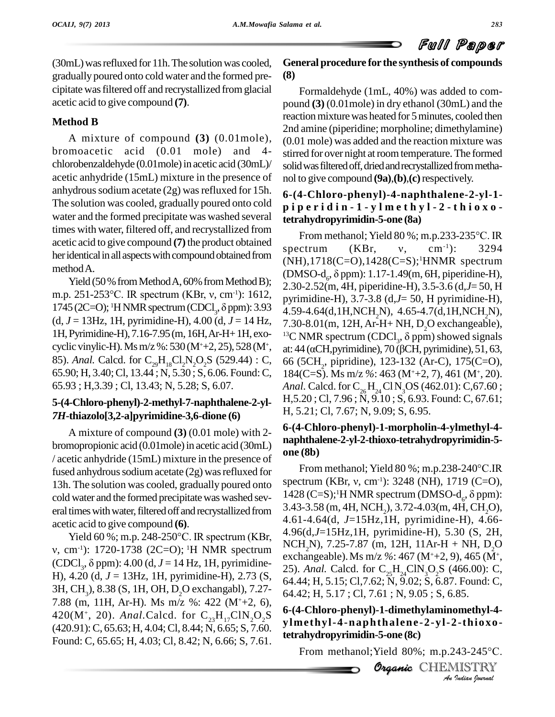(30mL) was refluxed for 11h. The solution was cooled, gradually poured onto cold water and the formed pre cipitate wasfiltered off and recrystallized fromglacial acetic acid to give compound **(7)**.

## **Method B**

A mixture of compound **(3)** (0.01mole), bromoacetic acid (0.01 mole) and 4 chlorobenzaldehyde (0.01 mole) in acetic acid (30mL)/ acetic anhydride (15mL) mixture in the presence of anhydrous sodium acetate  $(2g)$  was refluxed for 15h. The solution was cooled, gradually poured onto cold water and the formed precipitate was washed several times with water, filtered off, and recrystallized from acetic acid to give compound **(7)**the product obtained her identical in all aspects with compound obtained from methodA.

Yield (50 % from Method A, 60% from Method B); m.p. 251-253 °C. IR spectrum (KBr, v, cm<sup>-1</sup>): 1612, Yield (50 % from Method A, 60% from Method B);<br>m.p. 251-253 °C. IR spectrum (KBr, v, cm<sup>-1</sup>): 1612, pyrimi<br>1745 (2C=O); <sup>1</sup>HNMR spectrum (CDCl<sub>3</sub>,  $\delta$  ppm): 3.93 4.59-4 (d,  $J = 13$ Hz, 1H, pyrimidine-H), 4.00 (d,  $J = 14$  Hz,  $\tau$  30-8.01(m, 12H, Ar-H+ NH, D, O exchangeable) 1H, Pyrimidine-H), 7.16-7.95 (m, 16H, Ar-H+1H, exo-<br>13C NMR spectrum (CDCl<sub>3</sub>,  $\delta$  ppm) showed signals cyclic vinylic-H). Ms m/z %: 530 (M<sup>+</sup>+2, 25), 528 (M<sup>+</sup>, at: 44 ( $\alpha$ CH, pyrimidine), 70 ( $\beta$ CH, pyrimidine), 51, 63, 85). *Anal.* Calcd. for  $C_{29}H_{18}C_{2}N_2O_2S$  (529.44) : C, 65.90; H, 3.40; Cl, 13.44; N, 5.30; S, 6.06. Found: C, 65.93 ; H,3.39 ; Cl,13.43; N, 5.28; S, 6.07.

### **5-(4-Chloro-phenyl)-2-methyl-7-naphthalene-2-yl-** *7H***-thiazolo[3,2-a]pyrimidine-3,6-dione (6)**

A mixture of compound **(3)** (0.01 mole) with 2 bromopropionic acid (0.01 mole) in acetic acid (30 mL) / acetic anhydride (15mL) mixture in the presence of fused anhydrous sodium acetate  $(2g)$  was refluxed for 13h. The solution was cooled, gradually poured onto cold water and the formed precipitate was washed several times with water, filtered off and recrystallized from  $3.43-3.58$  (n<br>acetic acid to give compound (6).<br>Yield 60 %; m.p. 248-250°C. IR spectrum (KBr,  $4.96(d,J=15)$ acetic acid to give compound **(6)**.

 $v, \text{ cm}^{-1}$ : 1720-1738 (2C=O); <sup>1</sup>H NMR spectrum (CDCl<sub>2</sub>,  $\delta$  ppm): 4.00 (d<sub>3</sub>,  $J = 14$  Hz, 1H, pyrimidine-Yield 60 %; m.p. 248-250 °C. IR spectrum (KBr, H), 4.20 (d, *J* = 13Hz, 1H, pyrimidine-H), 2.73 (S,  $64.44$ ; H, 5.15; Cl, 7.62; N, 9.02; S, 6.87. Found: C, 3H, CH<sub>3</sub>), 8.38 (S, 1H, OH, D<sub>2</sub>O exchangabl), 7.27-<br>7.88 (m, 11H, Ar-H). Ms m/z %: 422 (M<sup>+</sup>+2, 6), 420(M<sup>+</sup>, 20). *Anal*.Calcd. for  $C_{23}H_{17}CIN_2O_2S$  where (420.91):C, 65.63;H, 4.04;Cl, 8.44; N, 6.65; S, 7.60. Found: C, 65.65; H, 4.03; Cl, 8.42; N, 6.66; S, 7.61.

**General procedure for the synthesis of compounds (8)**

Formaldehyde (1mL, 40%) was added to com pound **(3)** (0.01mole) in dry ethanol (30mL) and the reaction mixture was heated for 5 minutes, cooled then 2nd amine (piperidine; morpholine; dimethylamine) (0.01 mole) was added and the reaction mixture was stirred for over night at room temperature. The formed solid was filtered off, dried and recrystallized from methanol to give compound **(9a)**,**(b)**,**(c)**respectively.

## **6-(4-Chloro-phenyl)-4-naphthalene-2-yl-1** piperidin - 1 - y l m e t h y l - 2 - t h i o x o **tetrahydropyrimidin-5-one (8a)** p **e r i d i n - 1 - y l m e t h y l - 2 - t h i o x o -<br>ahydropyrimidin-5-one (8a)<br>From methanol; Yield 80 %; m.p.233-235°C. IR**

**tetrahydropyrimidin-5-one (8a)**<br>From methanol; Yield 80 %; m.p.233-235°C. IR<br>spectrum (KBr, v, cm<sup>-1</sup>): 3294  $(NH), 1718(C=O), 1428(C=S); 1HNMR$  spectrum spectrum (KBr, v, cm<sup>-1</sup>): 3294<br>(NH),1718(C=O),1428(C=S);<sup>1</sup>HNMR spectrum<br>(DMSO-d<sub>6</sub>,  $\delta$ ppm): 1.17-1.49(m, 6H, piperidine-H), 2.30-2.52(m, 4H, piperidine-H), 3.5-3.6 (d,*J*= 50, H pyrimidine-H), 3.7-3.8 (d,*J*= 50, H pyrimidine-H), 4.59-4.64(d,1H,NCH<sub>2</sub>N), 4.65-4.7(d,1H,NCH<sub>2</sub>N),<br>7.30-8.01(m, 12H, Ar-H+ NH, D<sub>2</sub>O exchangeable), <sup>13</sup>C NMR spectrum (CDCl<sub>3</sub>,  $\delta$  ppm) showed signals 7.30-8.01(m, 12H, Ar-H+ NH, D<sub>2</sub>O exchangeable),<br><sup>13</sup>C NMR spectrum (CDCl<sub>3</sub>,  $\delta$  ppm) showed signals<br>at: 44 ( $\alpha$ CH,pyrimidine), 70 ( $\beta$ CH, pyrimidine), 51, 63, 66 (5CH<sub>2</sub>, pipridine), 123-132 (Ar-C), 175(C=O), 184(C=S). Ms m/z *%*: 463 (M<sup>+</sup>+2, 7), 461 (M<sup>+</sup> , 20). *Anal.* Calcd. for  $C_{26}H_{24}C1N_3OS$  (462.01): C,67.60; H,5.20 ; Cl,7.96 ; N, 9.10 ; S, 6.93. Found: C, 67.61; H, 5.21; Cl, 7.67; N, 9.09; S, 6.95.

### **6-(4-Chloro-phenyl)-1-morpholin-4-ylmethyl-4 naphthalene-2-yl-2-thioxo-tetrahydropyrimidin-5 one (8b)**

**Organic***An*64.42; H, 5.17 ; Cl, 7.61 ; N, 9.05 ; S, 6.85. From methanol; Yield <sup>80</sup> %; m.p.238-240°C.IR spectrum (KBr, v, cm<sup>-1</sup>): 3248 (NH), 1719 (C=O), From methanol; Yield 80 %; m.p.238-240°C.IR<br>spectrum (KBr, v, cm<sup>-1</sup>): 3248 (NH), 1719 (C=O),<br>1428 (C=S);<sup>1</sup>H NMR spectrum (DMSO-d<sub>6</sub>,  $\delta$  ppm): 3.43-3.58 (m, 4H, NCH<sub>2</sub>), 3.72-4.03 (m, 4H, CH<sub>2</sub>O), 4.61-4.64 (d, *J*=15Hz, 1H, pyrimidine-H), 4.66-4.96(d,*J*=15Hz,1H, pyrimidine-H), 5.30 (S, 2H,  $NCH<sub>2</sub>N$ , 7.25-7.87 (m, 12H, 11Ar-H + NH, D<sub>2</sub>O exchangeable).Ms m/z *%*: 467 (M<sup>+</sup>+2, 9), 465 (M<sup>+</sup> , 25). *Anal.* Calcd. for  $C_{25}H_{24}CIN_{3}O_{2}S$  (466.00): C,

**0methyl-4-<br>2-thioxo-**<br>!43-245°C.<br><u>Indian Iournal</u> **6-(4-Chloro-phenyl)-1-dimethylaminomethyl-4 ylmethyl-4-naphthal ene-2-yl-2-thioxotetrahydropyrimidin-5-one (8c)** nethyl-4-naphthalene-2-yl-2-thioxo-<br>ahydropyrimidin-5-one (8c)<br>From methanol;Yield 80%; m.p.243-245°C.

Organic CHEMISTRY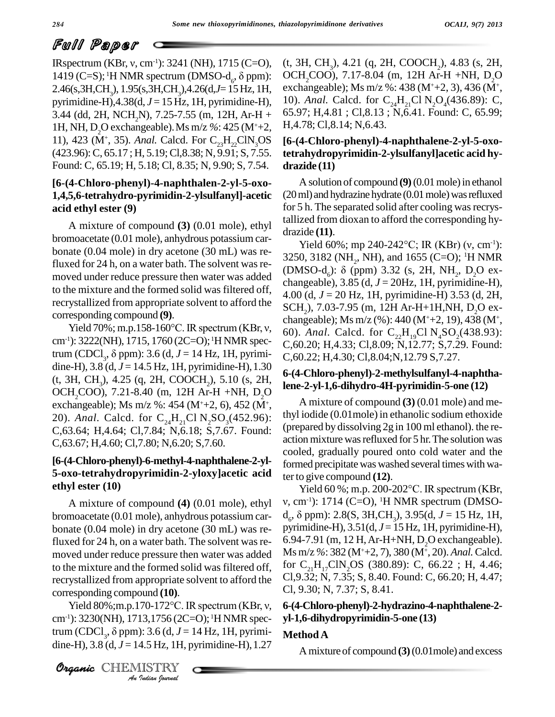IRspectrum (KBr, v, cm<sup>-1</sup>): 3241 (NH), 1715 (C=O), **Train in Franch (Figure 1)**<br>
IRspectrum (KBr, v, cm<sup>-1</sup>): 3241 (NH), 1715 (C=O), (t,<br>
1419 (C=S); <sup>1</sup>H NMR spectrum (DMSO-d<sub>6</sub>,  $\delta$  ppm): O 2.46(s,3H,CH3), 1.95(s,3H,CH3),4.26(d,*J*=15Hz, 1H, pyrimidine-H),4.38(d, *<sup>J</sup>* <sup>=</sup> <sup>15</sup> Hz, 1H, pyrimidine-H), 3.44 (dd, 2H, NCH<sub>2</sub>N), 7.25-7.55 (m, 12H, Ar-H + 65.97; H, 4.81; Cl, 8.13; N, 6.41. Found: C, 65.99; 1H, NH, D<sub>2</sub>O exchangeable). Ms m/z %: 425 (M<sup>+</sup>+2, H, 4.78; Cl, 8.14; N, 6.43. 1H, NH, D<sub>2</sub>O exchangeable). Ms m/z %: 425 (M<sup>+</sup>+2, H,4.78;<br>11), 423 (M<sup>+</sup>, 35). *Anal*. Calcd. For  $C_{23}H_{22}CIN_{3}OS$  [6-(4-C) (423.96):C, 65.17 ; H, 5.19;Cl,8.38; N, 9.91; S, 7.55. Found: C, 65.19; H, 5.18; Cl, 8.35; N, 9.90; S, 7.54.

### **[6-(4-Chloro-phenyl)-4-naphthalen-2-yl-5-oxo- 1,4,5,6-tetrahydro-pyrimidin-2-ylsulfanyl]-acetic acid ethyl ester (9)**

A mixture of compound **(3)** (0.01 mole), ethyl bromoacetate (0.01 mole), anhydrous potassium car bonate (0.04 mole) in dry acetone (30 mL) was refluxed for 24 h, on a water bath. The solvent was re-<br>(DMSO-d<sub>c</sub>):  $\delta$  (ppm) 3.32 (s, 2H, NH<sub>3</sub>, D<sub>2</sub>O exmoved under reduce pressure then water was added to the mixture and the formed solid was filtered off, recrystallized from appropriate solvent to afford the corresponding compound **(9)**. ystallized from appropriate solvent to afford the<br>esponding compound (9). ch<br>Yield 70%; m.p.158-160°C. IR spectrum (KBr, v,

cm<sup>-1</sup>): 3222(NH), 1715, 1760 (2C=O); <sup>1</sup>H NMR spectrum (CDCl<sub>3</sub>,  $\delta$  ppm): 3.6 (d,  $J = 14$  Hz, 1H, pyrimi-%; m.p.158-160°C. IR spectrum (KBr, v, 60)<br>VH), 1715, 1760 (2C=O); <sup>1</sup>H NMR spec- C, 6<br>,  $\delta$  ppm): 3.6 (d, J = 14 Hz, 1H, pyrimidine-H),  $3.8$  (d,  $J = 14.5$  Hz, 1H, pyrimidine-H), 1.30 (t, 3H, CH<sub>3</sub>), 4.25 (q, 2H, COOCH<sub>2</sub>), 5.10 (s, 2H, OCH<sub>2</sub>COO), 7.21-8.40 (m, 12H Ar-H +NH, D<sub>2</sub>O exchangeable); Ms m/z %: 454 (M<sup>+</sup>+2, 6), 452 (M<sup>+</sup>, 20). *Anal.* Calcd. for  $C_{24}H_{21}CH_{25}SO_{3}(452.96)$ : C,63.64; H,4.64; Cl,7.84; N,6.18; S,7.67. Found: C,63.67; H,4.60; Cl,7.80; N,6.20; S,7.60.

### **[6-(4-Chloro-phenyl)-6-methyl-4-naphthalene-2-yl- 5-oxo-tetrahydropyrimidin-2-yloxy]acetic acid ethyl ester (10)**

A mixture of compound **(4)** (0.01 mole), ethyl bromoacetate (0.01 mole), anhydrous potassium car-<br>bonate (0.04 mole) in dry acetone (30 mL) was re-<br>pyrimidine-H), 3.51(d, J = 15 Hz, 1H, pyrimidine-H),<br>pyrimidine-H), bonate (0.04 mole) in dry acetone (30 mL) was refluxed for 24 h, on a water bath. The solvent was re-  $6.94-7.91$  (m, 12 H, Ar-H+NH, D<sub>2</sub>O exchangeable). moved under reduce pressure then water was added to the mixture and the formed solid was filtered off, recrystallized from appropriate solvent to afford the CI,9.3<br>corresponding compound (10). Cl, 9.<br>Yield 80%;m.p.170-172°C. IR spectrum (KBr, v, 6-(4-C corresponding compound **(10)**.

**Analyzing**<br>Circle 80% in n *T*0-172°C. II<br>13,1756 (2C:<br>): 3.6 (d, J =<br>4.5 Hz, 1H, f<br>IISTRY cm<sup>-1</sup>): 3230(NH), 1713,1756 (2C=O); <sup>1</sup>H NMR spec-Yield 80%;m.p.170-172°C. IR spectrum (KBr, v, 6-(4 cm<sup>-1</sup>): 3230(NH), 1713,1756 (2C=O); <sup>1</sup>H NMR spec- yl-1 trum (CDCl<sub>3</sub>,  $\delta$  ppm): 3.6 (d,  $J = 14$  Hz, 1H, pyrimi- Me dine-H),  $3.8$  (d,  $J = 14.5$  Hz, 1H, pyrimidine-H), 1.27

(t, 3H, CH<sub>3</sub>), 4.21 (q, 2H, COOCH<sub>2</sub>), 4.83 (s, 2H, OCH<sub>2</sub>COO), 7.17-8.04 (m, 12H Ar-H +NH, D<sub>2</sub>O exchangeable); Ms m/z %: 438 (M<sup>+</sup>+2, 3), 436 (M<sup>+</sup> , 10). *Anal.* Calcd. for  $C_{24}H_{21}CH_{3}O_{4}(436.89)$ : C, H,4.78; Cl,8.14; N,6.43.

### **[6-(4-Chloro-phenyl)-4-naphthalene-2-yl-5-oxotetrahydropyrimidin-2-ylsulfanyl]acetic acid hy drazide (11)**

A solution of compound **(9)** (0.01 mole) in ethanol  $(20 \text{ ml})$  and hydrazine hydrate  $(0.01 \text{ mole})$  was refluxed for 5 h. The separated solid after cooling was recrystallized from dioxan to afford the corresponding hy drazide **(11)**.

Yield 60%; mp 240-242°C; IR (KBr) ( $v, \text{ cm}^{-1}$ ): 3250, 3182 (NH<sub>2</sub>, NH), and 1655 (C=O); <sup>1</sup>H NMR Yield 60%; mp 240-242°C; IR (KBr) (v, c<br>3250, 3182 (NH<sub>2</sub>, NH), and 1655 (C=O); <sup>1</sup>H N<br>(DMSO-d<sub>6</sub>):  $\delta$  (ppm) 3.32 (s, 2H, NH<sub>2</sub>, D<sub>2</sub>C changeable),  $3.85$  (d,  $J = 20$ Hz, 1H, pyrimidine-H), 4.00 (d, *J* = 20 Hz, 1H, pyrimidine-H) 3.53 (d, 2H, SCH<sub>2</sub>), 7.03-7.95 (m, 12H Ar-H+1H,NH, D<sub>2</sub>O ex-<br>changeable); Ms m/z (%): 440 (M<sup>+</sup>+2, 19), 438 (M<sup>+</sup>, , 60). *Anal.* Calcd. for  $C_{22}H_{19}Cl N_ASO_2(438.93)$ : C,60.20; H,4.33; Cl,8.09; N,12.77; S,7.29. Found: C,60.22; H,4.30; Cl,8.04;N,12.79 S,7.27.

### **6-(4-Chloro-phenyl)-2-methylsulfanyl-4-naphthalene-2-yl-1,6-dihydro-4H-pyrimidin-5-one (12)**

, A mixture of compound **(3)** (0.01 mole) and methyl iodide (0.01mole) in ethanolic sodium ethoxide (prepared by dissolving 2g in 100 ml ethanol). the re action mixture was refluxed for 5 hr. The solution was cooled, gradually poured onto cold water and the formed precipitate was washed several times with wa-<br>ter to give compound (12).<br>Yield 60 %; m.p. 200-202°C. IR spectrum (KBr, ter to give compound  $(12)$ .

, cm-1): 1714 (C=O), <sup>1</sup>H NMR spectrum (DMSO d<sub>c</sub>,  $\delta$  ppm): 2.8(S, 3H,CH<sub>2</sub>), 3.95(d, J = 15 Hz, 1H, Yield 60 %; m.p. 200-202°C. IR spectrum (KBr, v, cm<sup>-1</sup>): 1714 (C=O), <sup>1</sup>H NMR spectrum (DMSO-<br>d<sub>6</sub>, δ ppm): 2.8(S, 3H,CH<sub>3</sub>), 3.95(d, *J* = 15 Hz, 1H, pyrimidine-H), 3.51(d, *J* = 15 Hz, 1H, pyrimidine-H), 6.94-7.91 (m, 12 H, Ar-H+NH, D<sub>2</sub>O exchangeable).<br>Ms m/z %: 382 (M<sup>+</sup>+2, 7), 380 (M<sup>+</sup>, 20). *Anal*. Calcd. for  $C_{21}H_{17}CIN_{19}OS (380.89)$ : C, 66.22; H, 4.46; Cl,9.32; N, 7.35; S, 8.40. Found: C, 66.20; H, 4.47; Cl, 9.30; N, 7.37; S, 8.41.

### **6-(4-Chloro-phenyl)-2-hydrazino-4-naphthalene-2 yl-1,6-dihydropyrimidin-5-one (13)**

### **MethodA**

Amixture of compound **(3)**(0.01mole) and excess

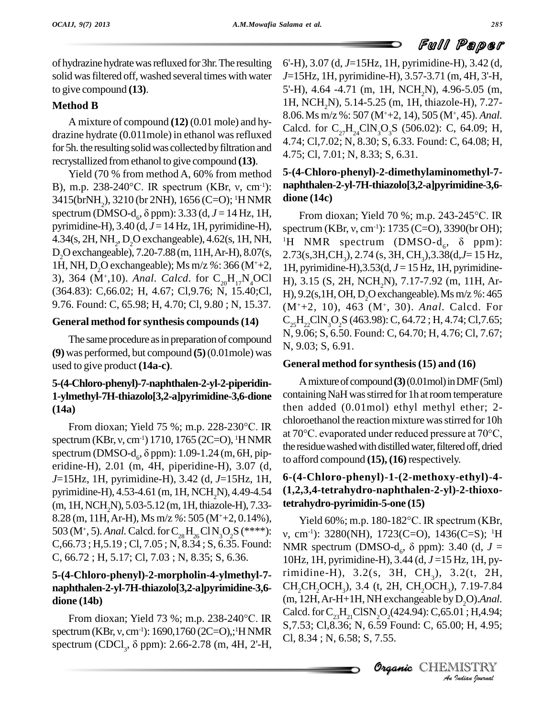of hydrazine hydrate was refluxed for 3hr. The resulting solid wasfiltered off, washed several times with water to give compound **(13)**.

### **Method B**

A mixture of compound **(12)** (0.01 mole) and hy drazine hydrate (0.011mole) in ethanol was refluxed<br>  $4.74$ ; Cl, 7.02; N, 8.30; S, 6.33. Found: C, 64.08; H, for 5h. the resulting solid was collected by filtration and recrystallized fromethanol to give compound **(13)**.

Yield (70 % from method A, 60% from method  $5-(4-C)$ recrystallized from ethanol to give compound (13).<br>
Yield (70 % from method A, 60% from method 5-6<br>
B), m.p. 238-240°C. IR spectrum (KBr, v, cm<sup>-1</sup>): **na** 3415(brNH2), 3210 (br 2NH), 1656 (C=O); <sup>1</sup>H NMR B), m.p. 238-240°C. IR spectrum (KBr, ν, cm<sup>-1</sup>): **na**<br>3415(brNH<sub>2</sub>), 3210 (br 2NH), 1656 (C=O); <sup>1</sup>H NMR **di** spectrum (DMSO-d<sub>6</sub>, δ ppm): 3.33 (d, *J* = 14 Hz, 1H, pyrimidine-H), 3.40 (d, *J* =14 Hz, 1H, pyrimidine-H), 4.34(s, 2H, NH<sub>2</sub>, D<sub>2</sub>O exchangeable), 4.62(s, 1H, NH<sub>2</sub> 4.34(s, 2H, NH<sub>2</sub>, D<sub>2</sub>O exchangeable), 4.62(s, 1H, NH, <sup>1</sup>H<sub>2</sub>O exchangeable), 7.20-7.88 (m, 11H, Ar-H), 8.07(s, 2.7, 1H, NH, D<sub>2</sub>O exchangeable); Ms m/z %: 366 (M<sup>+</sup>+2, 1H<sub>2</sub>), 364 (M<sup>+</sup>, 10). *Anal. Calcd.* for C<sub>20</sub>H (364.83): C,66.02; H, 4.67; Cl,9.76; N, 15.40; Cl,  $H$ ), 9.2(s, 1H, OH, D, O exchangeable). Ms m/z %: 465 9.76. Found: C, 65.98; H, 4.70; Cl, 9.80 ; N, 15.37.

### **General method for synthesis compounds(14)**

The same procedure as in preparation of compound **(9)** was performed, but compound **(5)**(0.01mole) was used to give product **(14a-c)**.

## **5-(4-Chloro-phenyl)-7-naphthalen-2-yl-2-piperidin- 1-ylmethyl-7H-thiazolo[3,2-a]pyrimidine-3,6-dione (14a)** methyl-7H-thiazolo[3,2-a]pyrimidine-3,6-dione containing<br>a) then add<br>From dioxan; Yield 75 %; m.p. 228-230°C. IR

spectrum (KBr, v, cm<sup>-1</sup>) 1710, 1765 (2C=O), <sup>1</sup>HNMR at  $70^{\circ}$ C. evaporated under reduced pressure at  $70^{\circ}$ C, spectrum (KBr, v, cm<sup>-1</sup>) 1710, 1765 (2C=O), <sup>1</sup>HNMR spectrum (DMSO-d<sub>6</sub>,  $\delta$  ppm): 1.09-1.24 (m, 6H, pipeld 75 %; m.p. 228-230°C. IR<br>
<sup>-1</sup>) 1710, 1765 (2C=O), <sup>1</sup>H NMR<br>
,  $\delta$  ppm): 1.09-1.24 (m, 6H, piperidine-H), 2.01 (m, 4H, piperidine-H), 3.07 (d, *J*=15Hz, 1H, pyrimidine-H), 3.42 (d, *J*=15Hz, 1H, pyrimidine-H), 4.53-4.61 (m, 1H, NCH<sub>2</sub>N), 4.49-4.54 (m, 1H,NCH2N), 5.03-5.12 (m, 1H, thiazole-H), 7.33- 8.28 (m, 11H,Ar-H), Ms m/z *%*: <sup>505</sup> (M<sup>+</sup>+2, 0.14%), 503 (M<sup>+</sup>, 5). *Anal.* Calcd. for  $C_{28}H_{26}CN_3O_2S$  (\*\*\*\*):  $v,$  $C,66.73; H,5.19; C1, 7.05; N, 8.34; S, 6.35. Found:$ C, 66.72 ; H, 5.17; Cl, 7.03 ; N, 8.35; S, 6.36.

# **naphthalen-2-yl-7H-thiazolo[3,2-a]pyrimidine-3,6 dione (14b)**

From dioxan; Yield <sup>73</sup> %; m.p. 238-240°C. IR dione (14b)<br>From dioxan; Yield 73 %; m.p. 238-240°C. IR Calcd. for<br>spectrum (KBr, v, cm<sup>-1</sup>): 1690,1760 (2C=O),;<sup>1</sup>HNMR S7.53; Cl spectrum (CDCl<sub>3</sub>,  $\delta$  ppm): 2.66-2.78 (m, 4H, 2'-H, Nield 73 %; m.p. 238-240°C. IR<br>
cm<sup>-1</sup>): 1690,1760 (2C=O),;<sup>1</sup>HNMR<br>
5, δ ppm): 2.66-2.78 (m, 4H, 2'-H,

6'-H), 3.07 (d, *J*=15Hz, 1H, pyrimidine-H), 3.42 (d, *J*=15Hz, 1H, pyrimidine-H), 3.57-3.71 (m, 4H, 3'-H, 5'-H), 4.64 -4.71 (m, 1H, NCH<sub>2</sub>N), 4.96-5.05 (m, 1H, NCH<sub>2</sub>N), 5.14-5.25 (m, 1H, thiazole-H), 7.27-8.06. *Ms* m/z %: 507 (M<sup>+</sup>+2, 14), 505 (M<sup>+</sup>, 45). *Anal.* Calcd. for  $C_{27}H_{24}CIN_{3}O_{3}S$  (506.02): C, 64.09; H, 4.75; Cl, 7.01; N, 8.33; S, 6.31.

### **5-(4-Chloro-phenyl)-2-dimethylaminomethyl-7 naphthalen-2-yl-7H-thiazolo[3,2-a]pyrimidine-3,6 dione (14c)**

From dioxan; Yield <sup>70</sup> %; m.p. 243-245°C. IR **alone (14c)**<br>From dioxan; Yield 70 %; m.p. 243-245°C. IR<br>spectrum (KBr, v, cm<sup>-1</sup>): 1735 (C=O), 3390(br OH); <sup>1</sup>H NMR spectrum (DMSO-d<sub>6</sub>,  $\delta$  ppm): 43-245°C. IR<br>3390(br OH);<br>, δ ppm): 2.73(s,3H,CH<sub>3</sub>), 2.74 (s, 3H, CH<sub>3</sub>), 3.38(d, *J* = 15 Hz, 1H, pyrimidine-H), 3.53(d, *J* = 15 Hz, 1H, pyrimidine-H), 3.15 (S, 2H, NCH<sub>2</sub>N), 7.17-7.92 (m, 11H, Ar-(M<sup>+</sup>+2, 10), 463 (M<sup>+</sup> , 30). *Anal.* Calcd. For  $C_{25}H_{22}CIN_{2}O_{2}S$  (463.98): C, 64.72; H, 4.74; Cl, 7.65; N, 9.06; S, 6.50. Found: C, 64.70; H, 4.76; Cl, 7.67; N, 9.03; S, 6.91.

### **General method for synthesis(15) and (16)**

Amixtureofcompound**(3)**(0.01mol)inDMF(5ml) containing NaH was stirred for 1h at room temperature then added (0.01mol) ethyl methyl ether; 2-<br>chloroethanol the reaction mixture was stirred for 10h<br>at 70°C. evaporated under reduced pressure at 70°C, chloroethanol the reaction mixture was stirred for 10h the residue washed with distilled water, filtered off, dried to afford compound **(15), (16)**respectively.

### **6-(4-Chloro-phenyl)-1-(2-methoxy-ethyl)-4- (1,2,3,4-tetrahydro-naphthalen-2-yl)-2-thioxotetrahydro-pyrimidin-5-one (15)**

 $H$  exchangeable by *I*CIM, Ar-H+1H, NH exchangeable by D<sub>2</sub>O).*Anal.*<br>
Calcd. for C<sub>23</sub>H<sub>21</sub>ClSN<sub>2</sub>O<sub>2</sub>(424.94): C,65.01 ; H,4.94;<br> *S*,7.53; Cl,8.36; N, 6.59 Found: C, 65.00; H, 4.95;<br>
Cl, 8.34 ; N, 6.58; S, 7.55.<br> **Organic** CHEMISTRY **5-(4-Chloro-phenyl)-2-morpholin-4-ylmethyl-7-** rimidine-H), 3.2(s, 3H, CH<sub>3</sub>), 3.2(t, 2H, Yield  $60\%$ ; m.p. 180-182 $^{\circ}$ C. IR spectrum (KBr, v, cm<sup>-1</sup>): 3280(NH), 1723(C=O), 1436(C=S); <sup>1</sup>H Yield 60%; m.p. 180-182°C. IR spectrum (KBr, v, cm<sup>-1</sup>): 3280(NH), 1723(C=O), 1436(C=S); <sup>1</sup>H<br>NMR spectrum (DMSO-d<sub>6</sub>,  $\delta$  ppm): 3.40 (d, *J* = 10Hz, 1H, pyrimidine-H), 3.44 (d, *J* =15 Hz, 1H, py-CH<sub>2</sub>CH<sub>2</sub>OCH<sub>3</sub>), 3.4 (t, 2H, CH<sub>2</sub>OCH<sub>3</sub>), 7.19-7.84 S,7.53; Cl,8.36; N, 6.59 Found: C, 65.00; H, 4.95; Cl, 8.34 ; N, 6.58; S, 7.55.

Organic CHEMISTRY